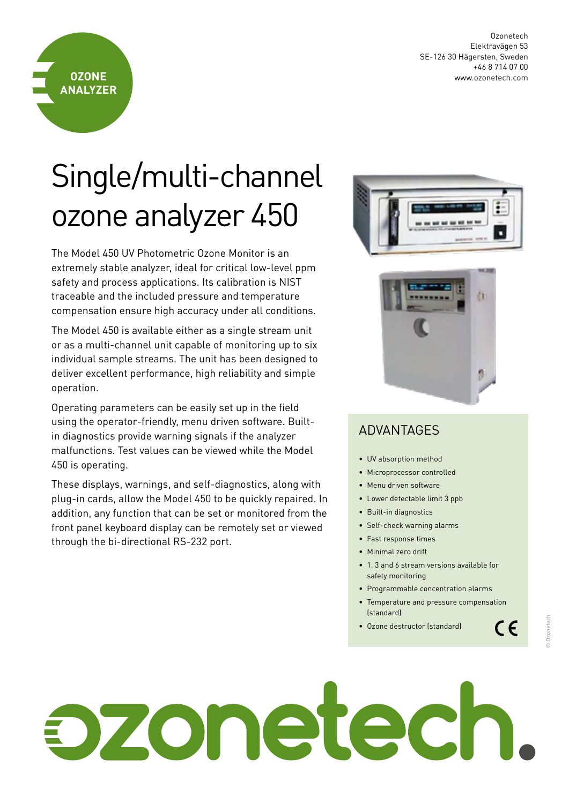Ozonetech Elektravägen 53 SE-126 30 Hägersten, Sweden +46 8 714 07 00 www.ozonetech.com

## Single/multi-channel ozone analyzer 450

**OZONE ANALYZER**

The Model 450 UV Photometric Ozone Monitor is an extremely stable analyzer, ideal for critical low-level ppm safety and process applications. Its calibration is NIST traceable and the included pressure and temperature compensation ensure high accuracy under all conditions.

The Model 450 is available either as a single stream unit or as a multi-channel unit capable of monitoring up to six individual sample streams. The unit has been designed to deliver excellent performance, high reliability and simple operation.

Operating parameters can be easily set up in the field using the operator-friendly, menu driven software. Builtin diagnostics provide warning signals if the analyzer malfunctions. Test values can be viewed while the Model 450 is operating.

These displays, warnings, and self-diagnostics, along with plug-in cards, allow the Model 450 to be quickly repaired. In addition, any function that can be set or monitored from the front panel keyboard display can be remotely set or viewed through the bi-directional RS-232 port.





## ADVANTAGES

- UV absorption method
- Microprocessor controlled
- Menu driven software
- Lower detectable limit 3 ppb
- Built-in diagnostics
- Self-check warning alarms
- Fast response times
- Minimal zero drift
- 1, 3 and 6 stream versions available for safety monitoring
- Programmable concentration alarms
- Temperature and pressure compensation (standard)
- Ozone destructor (standard)

 $C \in$